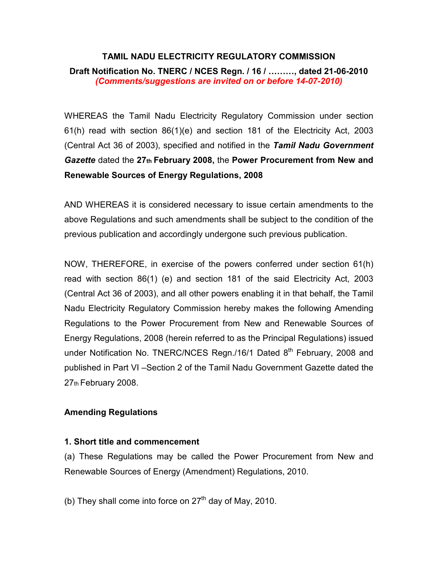# TAMIL NADU ELECTRICITY REGULATORY COMMISSION

Draft Notification No. TNERC / NCES Regn. / 16 / ………, dated 21-06-2010 (Comments/suggestions are invited on or before 14-07-2010)

WHEREAS the Tamil Nadu Electricity Regulatory Commission under section 61(h) read with section 86(1)(e) and section 181 of the Electricity Act, 2003 (Central Act 36 of 2003), specified and notified in the Tamil Nadu Government Gazette dated the 27th February 2008, the Power Procurement from New and Renewable Sources of Energy Regulations, 2008

AND WHEREAS it is considered necessary to issue certain amendments to the above Regulations and such amendments shall be subject to the condition of the previous publication and accordingly undergone such previous publication.

NOW, THEREFORE, in exercise of the powers conferred under section 61(h) read with section 86(1) (e) and section 181 of the said Electricity Act, 2003 (Central Act 36 of 2003), and all other powers enabling it in that behalf, the Tamil Nadu Electricity Regulatory Commission hereby makes the following Amending Regulations to the Power Procurement from New and Renewable Sources of Energy Regulations, 2008 (herein referred to as the Principal Regulations) issued under Notification No. TNERC/NCES Regn./16/1 Dated 8<sup>th</sup> February, 2008 and published in Part VI –Section 2 of the Tamil Nadu Government Gazette dated the 27th February 2008.

## Amending Regulations

#### 1. Short title and commencement

(a) These Regulations may be called the Power Procurement from New and Renewable Sources of Energy (Amendment) Regulations, 2010.

(b) They shall come into force on  $27<sup>th</sup>$  day of May, 2010.